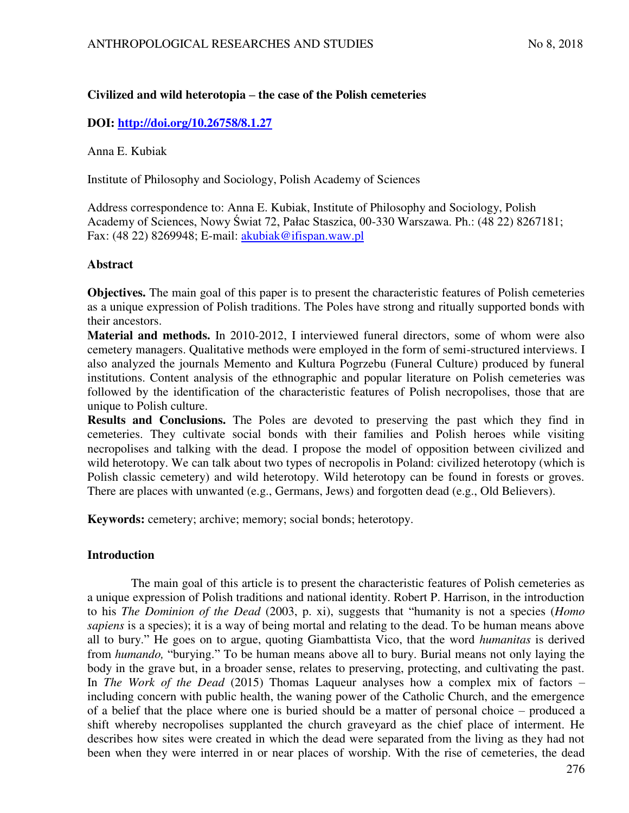# **Civilized and wild heterotopia – the case of the Polish cemeteries**

# **DOI:<http://doi.org/10.26758/8.1.27>**

Anna E. Kubiak

Institute of Philosophy and Sociology, Polish Academy of Sciences

Address correspondence to: Anna E. Kubiak, Institute of Philosophy and Sociology, Polish Academy of Sciences, Nowy ĝwiat 72, Pałac Staszica, 00-330 Warszawa. Ph.: (48 22) 8267181; Fax: (48 22) 8269948; E-mail: [akubiak@ifispan.waw.pl](mailto:akubiak@ifispan.waw.pl) 

## **Abstract**

**Objectives.** The main goal of this paper is to present the characteristic features of Polish cemeteries as a unique expression of Polish traditions. The Poles have strong and ritually supported bonds with their ancestors.

**Material and methods.** In 2010-2012, I interviewed funeral directors, some of whom were also cemetery managers. Qualitative methods were employed in the form of semi-structured interviews. I also analyzed the journals Memento and Kultura Pogrzebu (Funeral Culture) produced by funeral institutions. Content analysis of the ethnographic and popular literature on Polish cemeteries was followed by the identification of the characteristic features of Polish necropolises, those that are unique to Polish culture.

**Results and Conclusions.** The Poles are devoted to preserving the past which they find in cemeteries. They cultivate social bonds with their families and Polish heroes while visiting necropolises and talking with the dead. I propose the model of opposition between civilized and wild heterotopy. We can talk about two types of necropolis in Poland: civilized heterotopy (which is Polish classic cemetery) and wild heterotopy. Wild heterotopy can be found in forests or groves. There are places with unwanted (e.g., Germans, Jews) and forgotten dead (e.g., Old Believers).

**Keywords:** cemetery; archive; memory; social bonds; heterotopy.

# **Introduction**

The main goal of this article is to present the characteristic features of Polish cemeteries as a unique expression of Polish traditions and national identity. Robert P. Harrison, in the introduction to his *The Dominion of the Dead* (2003, p. xi), suggests that "humanity is not a species (*Homo sapiens* is a species); it is a way of being mortal and relating to the dead. To be human means above all to bury." He goes on to argue, quoting Giambattista Vico, that the word *humanitas* is derived from *humando,* "burying." To be human means above all to bury. Burial means not only laying the body in the grave but, in a broader sense, relates to preserving, protecting, and cultivating the past. In *The Work of the Dead* (2015) Thomas Laqueur analyses how a complex mix of factors – including concern with public health, the waning power of the Catholic Church, and the emergence of a belief that the place where one is buried should be a matter of personal choice – produced a shift whereby necropolises supplanted the church graveyard as the chief place of interment. He describes how sites were created in which the dead were separated from the living as they had not been when they were interred in or near places of worship. With the rise of cemeteries, the dead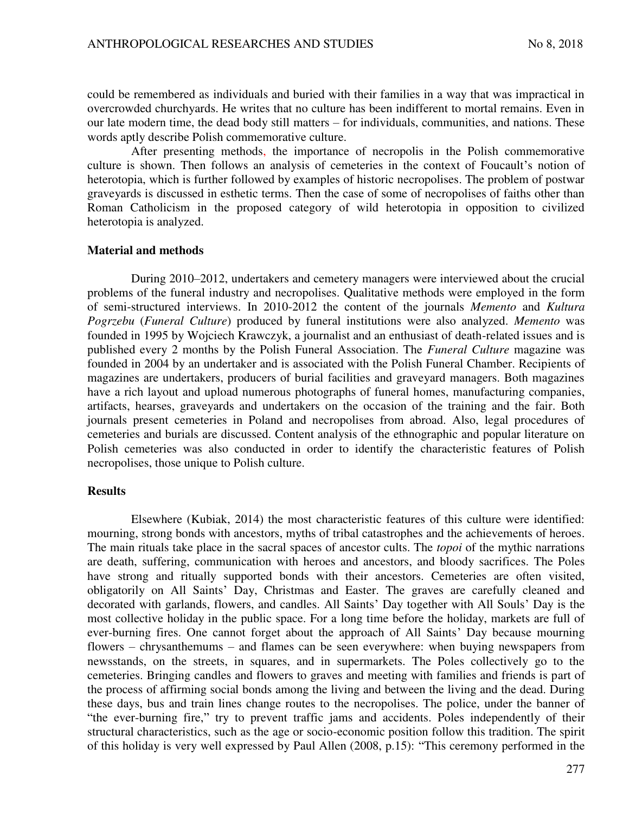could be remembered as individuals and buried with their families in a way that was impractical in overcrowded churchyards. He writes that no culture has been indifferent to mortal remains. Even in our late modern time, the dead body still matters – for individuals, communities, and nations. These words aptly describe Polish commemorative culture.

After presenting methods, the importance of necropolis in the Polish commemorative culture is shown. Then follows an analysis of cemeteries in the context of Foucault's notion of heterotopia, which is further followed by examples of historic necropolises. The problem of postwar graveyards is discussed in esthetic terms. Then the case of some of necropolises of faiths other than Roman Catholicism in the proposed category of wild heterotopia in opposition to civilized heterotopia is analyzed.

#### **Material and methods**

During 2010–2012, undertakers and cemetery managers were interviewed about the crucial problems of the funeral industry and necropolises. Qualitative methods were employed in the form of semi-structured interviews. In 2010-2012 the content of the journals *Memento* and *Kultura Pogrzebu* (*Funeral Culture*) produced by funeral institutions were also analyzed. *Memento* was founded in 1995 by Wojciech Krawczyk, a journalist and an enthusiast of death-related issues and is published every 2 months by the Polish Funeral Association. The *Funeral Culture* magazine was founded in 2004 by an undertaker and is associated with the Polish Funeral Chamber. Recipients of magazines are undertakers, producers of burial facilities and graveyard managers. Both magazines have a rich layout and upload numerous photographs of funeral homes, manufacturing companies, artifacts, hearses, graveyards and undertakers on the occasion of the training and the fair. Both journals present cemeteries in Poland and necropolises from abroad. Also, legal procedures of cemeteries and burials are discussed. Content analysis of the ethnographic and popular literature on Polish cemeteries was also conducted in order to identify the characteristic features of Polish necropolises, those unique to Polish culture.

## **Results**

Elsewhere (Kubiak, 2014) the most characteristic features of this culture were identified: mourning, strong bonds with ancestors, myths of tribal catastrophes and the achievements of heroes. The main rituals take place in the sacral spaces of ancestor cults. The *topoi* of the mythic narrations are death, suffering, communication with heroes and ancestors, and bloody sacrifices. The Poles have strong and ritually supported bonds with their ancestors. Cemeteries are often visited, obligatorily on All Saints' Day, Christmas and Easter. The graves are carefully cleaned and decorated with garlands, flowers, and candles. All Saints' Day together with All Souls' Day is the most collective holiday in the public space. For a long time before the holiday, markets are full of ever-burning fires. One cannot forget about the approach of All Saints' Day because mourning flowers – chrysanthemums – and flames can be seen everywhere: when buying newspapers from newsstands, on the streets, in squares, and in supermarkets. The Poles collectively go to the cemeteries. Bringing candles and flowers to graves and meeting with families and friends is part of the process of affirming social bonds among the living and between the living and the dead. During these days, bus and train lines change routes to the necropolises. The police, under the banner of "the ever-burning fire," try to prevent traffic jams and accidents. Poles independently of their structural characteristics, such as the age or socio-economic position follow this tradition. The spirit of this holiday is very well expressed by Paul Allen (2008, p.15): "This ceremony performed in the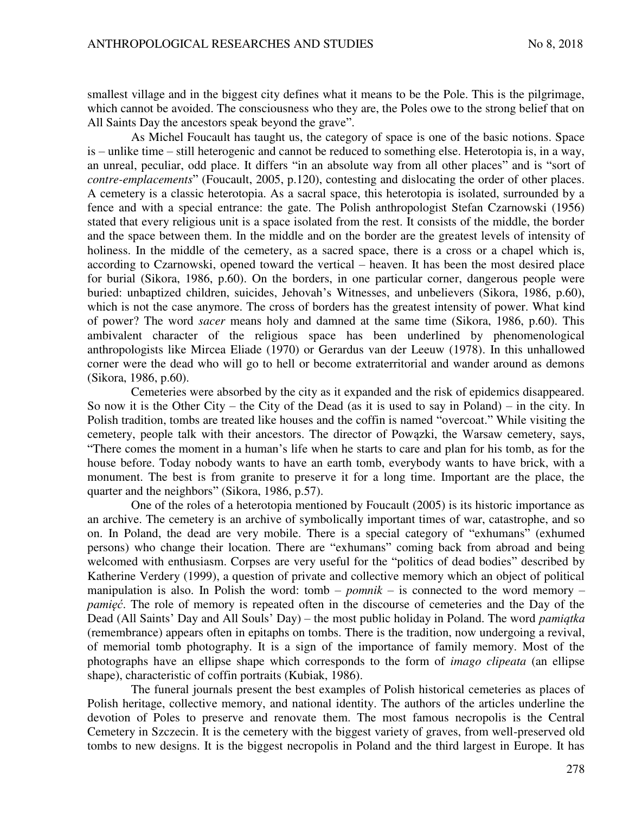smallest village and in the biggest city defines what it means to be the Pole. This is the pilgrimage, which cannot be avoided. The consciousness who they are, the Poles owe to the strong belief that on All Saints Day the ancestors speak beyond the grave".

As Michel Foucault has taught us, the category of space is one of the basic notions. Space is – unlike time – still heterogenic and cannot be reduced to something else. Heterotopia is, in a way, an unreal, peculiar, odd place. It differs "in an absolute way from all other places" and is "sort of *contre-emplacements*" (Foucault, 2005, p.120), contesting and dislocating the order of other places. A cemetery is a classic heterotopia. As a sacral space, this heterotopia is isolated, surrounded by a fence and with a special entrance: the gate. The Polish anthropologist Stefan Czarnowski (1956) stated that every religious unit is a space isolated from the rest. It consists of the middle, the border and the space between them. In the middle and on the border are the greatest levels of intensity of holiness. In the middle of the cemetery, as a sacred space, there is a cross or a chapel which is, according to Czarnowski, opened toward the vertical – heaven. It has been the most desired place for burial (Sikora, 1986, p.60). On the borders, in one particular corner, dangerous people were buried: unbaptized children, suicides, Jehovah's Witnesses, and unbelievers (Sikora, 1986, p.60), which is not the case anymore. The cross of borders has the greatest intensity of power. What kind of power? The word *sacer* means holy and damned at the same time (Sikora, 1986, p.60). This ambivalent character of the religious space has been underlined by phenomenological anthropologists like Mircea Eliade (1970) or Gerardus van der Leeuw (1978). In this unhallowed corner were the dead who will go to hell or become extraterritorial and wander around as demons (Sikora, 1986, p.60).

Cemeteries were absorbed by the city as it expanded and the risk of epidemics disappeared. So now it is the Other City – the City of the Dead (as it is used to say in Poland) – in the city. In Polish tradition, tombs are treated like houses and the coffin is named "overcoat." While visiting the cemetery, people talk with their ancestors. The director of Powązki, the Warsaw cemetery, says, "There comes the moment in a human's life when he starts to care and plan for his tomb, as for the house before. Today nobody wants to have an earth tomb, everybody wants to have brick, with a monument. The best is from granite to preserve it for a long time. Important are the place, the quarter and the neighbors" (Sikora, 1986, p.57).

One of the roles of a heterotopia mentioned by Foucault (2005) is its historic importance as an archive. The cemetery is an archive of symbolically important times of war, catastrophe, and so on. In Poland, the dead are very mobile. There is a special category of "exhumans" (exhumed persons) who change their location. There are "exhumans" coming back from abroad and being welcomed with enthusiasm. Corpses are very useful for the "politics of dead bodies" described by Katherine Verdery (1999), a question of private and collective memory which an object of political manipulation is also. In Polish the word: tomb – *pomnik* – is connected to the word memory – *pamięć*. The role of memory is repeated often in the discourse of cemeteries and the Day of the Dead (All Saints' Day and All Souls' Day) – the most public holiday in Poland. The word *pamiątka* (remembrance) appears often in epitaphs on tombs. There is the tradition, now undergoing a revival, of memorial tomb photography. It is a sign of the importance of family memory. Most of the photographs have an ellipse shape which corresponds to the form of *imago clipeata* (an ellipse shape), characteristic of coffin portraits (Kubiak, 1986).

The funeral journals present the best examples of Polish historical cemeteries as places of Polish heritage, collective memory, and national identity. The authors of the articles underline the devotion of Poles to preserve and renovate them. The most famous necropolis is the Central Cemetery in Szczecin. It is the cemetery with the biggest variety of graves, from well-preserved old tombs to new designs. It is the biggest necropolis in Poland and the third largest in Europe. It has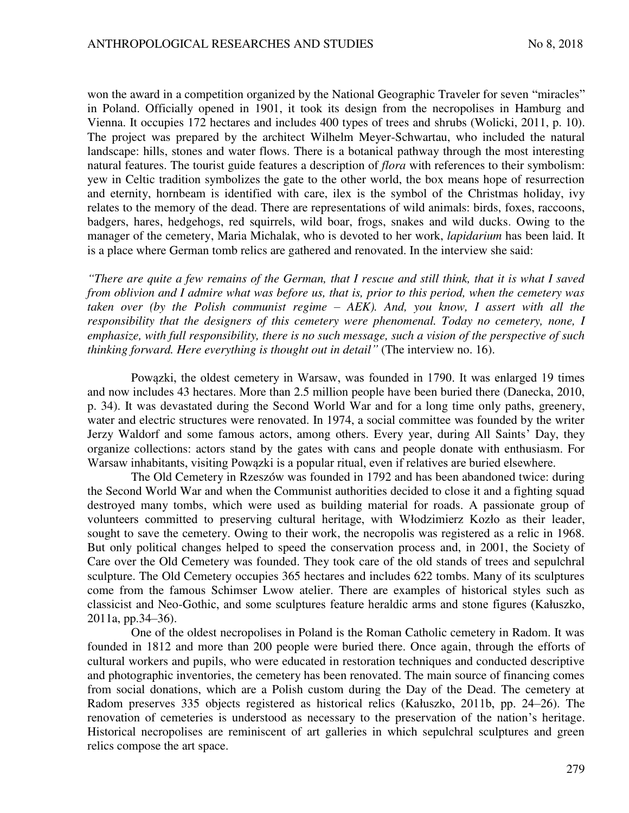won the award in a competition organized by the National Geographic Traveler for seven "miracles" in Poland. Officially opened in 1901, it took its design from the necropolises in Hamburg and Vienna. It occupies 172 hectares and includes 400 types of trees and shrubs (Wolicki, 2011, p. 10). The project was prepared by the architect Wilhelm Meyer-Schwartau, who included the natural landscape: hills, stones and water flows. There is a botanical pathway through the most interesting natural features. The tourist guide features a description of *flora* with references to their symbolism: yew in Celtic tradition symbolizes the gate to the other world, the box means hope of resurrection and eternity, hornbeam is identified with care, ilex is the symbol of the Christmas holiday, ivy relates to the memory of the dead. There are representations of wild animals: birds, foxes, raccoons, badgers, hares, hedgehogs, red squirrels, wild boar, frogs, snakes and wild ducks. Owing to the manager of the cemetery, Maria Michalak, who is devoted to her work, *lapidarium* has been laid. It is a place where German tomb relics are gathered and renovated. In the interview she said:

*"There are quite a few remains of the German, that I rescue and still think, that it is what I saved from oblivion and I admire what was before us, that is, prior to this period, when the cemetery was taken over (by the Polish communist regime – AEK). And, you know, I assert with all the responsibility that the designers of this cemetery were phenomenal. Today no cemetery, none, I emphasize, with full responsibility, there is no such message, such a vision of the perspective of such thinking forward. Here everything is thought out in detail"* (The interview no. 16).

Powązki, the oldest cemetery in Warsaw, was founded in 1790. It was enlarged 19 times and now includes 43 hectares. More than 2.5 million people have been buried there (Danecka, 2010, p. 34). It was devastated during the Second World War and for a long time only paths, greenery, water and electric structures were renovated. In 1974, a social committee was founded by the writer Jerzy Waldorf and some famous actors, among others. Every year, during All Saints' Day, they organize collections: actors stand by the gates with cans and people donate with enthusiasm. For Warsaw inhabitants, visiting Powązki is a popular ritual, even if relatives are buried elsewhere.

The Old Cemetery in Rzeszów was founded in 1792 and has been abandoned twice: during the Second World War and when the Communist authorities decided to close it and a fighting squad destroyed many tombs, which were used as building material for roads. A passionate group of volunteers committed to preserving cultural heritage, with Włodzimierz Kozło as their leader, sought to save the cemetery. Owing to their work, the necropolis was registered as a relic in 1968. But only political changes helped to speed the conservation process and, in 2001, the Society of Care over the Old Cemetery was founded. They took care of the old stands of trees and sepulchral sculpture. The Old Cemetery occupies 365 hectares and includes 622 tombs. Many of its sculptures come from the famous Schimser Lwow atelier. There are examples of historical styles such as classicist and Neo-Gothic, and some sculptures feature heraldic arms and stone figures (Kałuszko, 2011a, pp.34–36).

One of the oldest necropolises in Poland is the Roman Catholic cemetery in Radom. It was founded in 1812 and more than 200 people were buried there. Once again, through the efforts of cultural workers and pupils, who were educated in restoration techniques and conducted descriptive and photographic inventories, the cemetery has been renovated. The main source of financing comes from social donations, which are a Polish custom during the Day of the Dead. The cemetery at Radom preserves 335 objects registered as historical relics (Kałuszko, 2011b, pp. 24–26). The renovation of cemeteries is understood as necessary to the preservation of the nation's heritage. Historical necropolises are reminiscent of art galleries in which sepulchral sculptures and green relics compose the art space.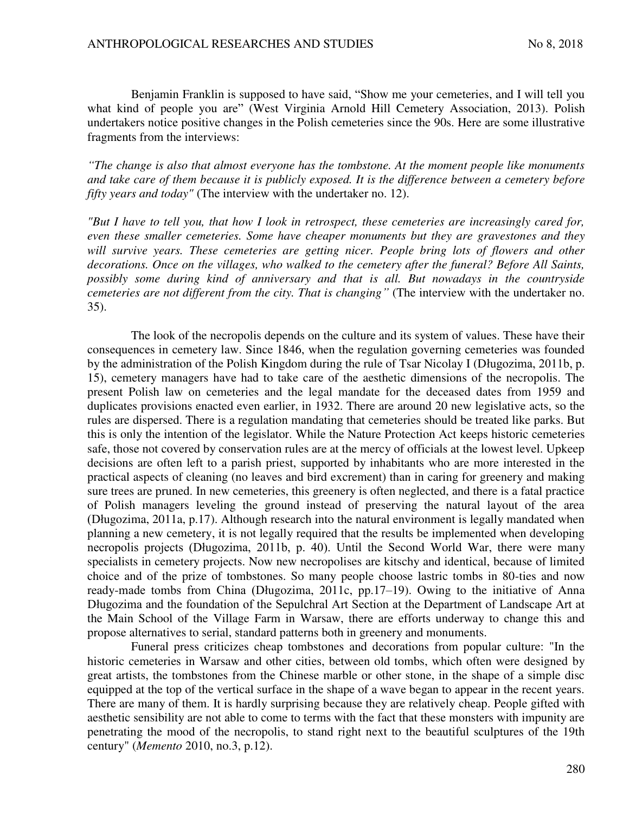Benjamin Franklin is supposed to have said, "Show me your cemeteries, and I will tell you what kind of people you are" (West Virginia Arnold Hill Cemetery Association, 2013). Polish undertakers notice positive changes in the Polish cemeteries since the 90s. Here are some illustrative fragments from the interviews:

*"The change is also that almost everyone has the tombstone. At the moment people like monuments and take care of them because it is publicly exposed. It is the difference between a cemetery before fifty years and today"* (The interview with the undertaker no. 12).

*"But I have to tell you, that how I look in retrospect, these cemeteries are increasingly cared for, even these smaller cemeteries. Some have cheaper monuments but they are gravestones and they*  will survive years. These cemeteries are getting nicer. People bring lots of flowers and other *decorations. Once on the villages, who walked to the cemetery after the funeral? Before All Saints, possibly some during kind of anniversary and that is all. But nowadays in the countryside cemeteries are not different from the city. That is changing"* (The interview with the undertaker no. 35).

The look of the necropolis depends on the culture and its system of values. These have their consequences in cemetery law. Since 1846, when the regulation governing cemeteries was founded by the administration of the Polish Kingdom during the rule of Tsar Nicolay I (Długozima, 2011b, p. 15), cemetery managers have had to take care of the aesthetic dimensions of the necropolis. The present Polish law on cemeteries and the legal mandate for the deceased dates from 1959 and duplicates provisions enacted even earlier, in 1932. There are around 20 new legislative acts, so the rules are dispersed. There is a regulation mandating that cemeteries should be treated like parks. But this is only the intention of the legislator. While the Nature Protection Act keeps historic cemeteries safe, those not covered by conservation rules are at the mercy of officials at the lowest level. Upkeep decisions are often left to a parish priest, supported by inhabitants who are more interested in the practical aspects of cleaning (no leaves and bird excrement) than in caring for greenery and making sure trees are pruned. In new cemeteries, this greenery is often neglected, and there is a fatal practice of Polish managers leveling the ground instead of preserving the natural layout of the area (Długozima, 2011a, p.17). Although research into the natural environment is legally mandated when planning a new cemetery, it is not legally required that the results be implemented when developing necropolis projects (Długozima, 2011b, p. 40). Until the Second World War, there were many specialists in cemetery projects. Now new necropolises are kitschy and identical, because of limited choice and of the prize of tombstones. So many people choose lastric tombs in 80-ties and now ready-made tombs from China (Długozima, 2011c, pp.17–19). Owing to the initiative of Anna Długozima and the foundation of the Sepulchral Art Section at the Department of Landscape Art at the Main School of the Village Farm in Warsaw, there are efforts underway to change this and propose alternatives to serial, standard patterns both in greenery and monuments.

Funeral press criticizes cheap tombstones and decorations from popular culture: "In the historic cemeteries in Warsaw and other cities, between old tombs, which often were designed by great artists, the tombstones from the Chinese marble or other stone, in the shape of a simple disc equipped at the top of the vertical surface in the shape of a wave began to appear in the recent years. There are many of them. It is hardly surprising because they are relatively cheap. People gifted with aesthetic sensibility are not able to come to terms with the fact that these monsters with impunity are penetrating the mood of the necropolis, to stand right next to the beautiful sculptures of the 19th century" (*Memento* 2010, no.3, p.12).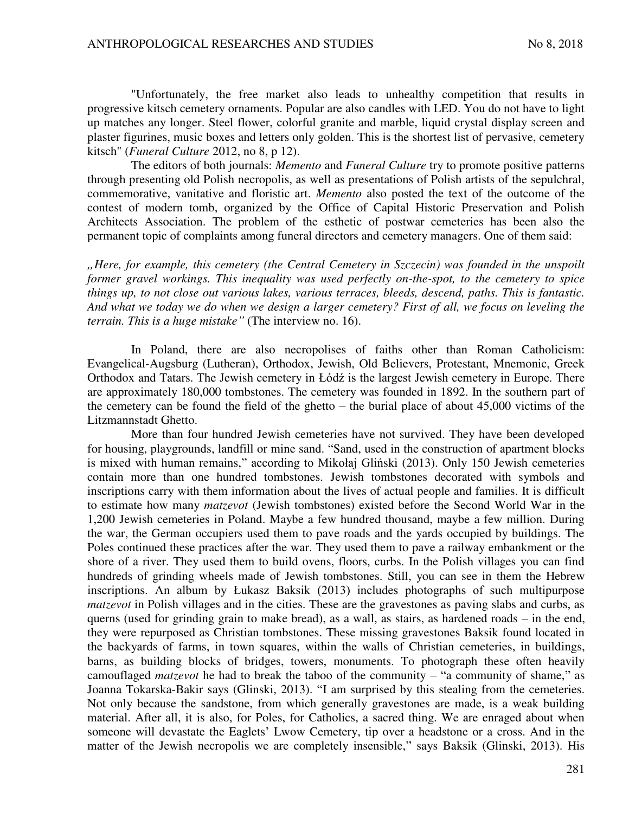"Unfortunately, the free market also leads to unhealthy competition that results in progressive kitsch cemetery ornaments. Popular are also candles with LED. You do not have to light up matches any longer. Steel flower, colorful granite and marble, liquid crystal display screen and plaster figurines, music boxes and letters only golden. This is the shortest list of pervasive, cemetery kitsch" (*Funeral Culture* 2012, no 8, p 12).

The editors of both journals: *Memento* and *Funeral Culture* try to promote positive patterns through presenting old Polish necropolis, as well as presentations of Polish artists of the sepulchral, commemorative, vanitative and floristic art. *Memento* also posted the text of the outcome of the contest of modern tomb, organized by the Office of Capital Historic Preservation and Polish Architects Association. The problem of the esthetic of postwar cemeteries has been also the permanent topic of complaints among funeral directors and cemetery managers. One of them said:

*"Here, for example, this cemetery (the Central Cemetery in Szczecin) was founded in the unspoilt former gravel workings. This inequality was used perfectly on-the-spot, to the cemetery to spice things up, to not close out various lakes, various terraces, bleeds, descend, paths. This is fantastic. And what we today we do when we design a larger cemetery? First of all, we focus on leveling the terrain. This is a huge mistake"* (The interview no. 16).

In Poland, there are also necropolises of faiths other than Roman Catholicism: Evangelical-Augsburg (Lutheran), Orthodox, Jewish, Old Believers, Protestant, Mnemonic, Greek Orthodox and Tatars. The Jewish cemetery in Łódź is the largest Jewish cemetery in Europe. There are approximately 180,000 tombstones. The cemetery was founded in 1892. In the southern part of the cemetery can be found the field of the ghetto – the burial place of about 45,000 victims of the Litzmannstadt Ghetto.

More than four hundred Jewish cemeteries have not survived. They have been developed for housing, playgrounds, landfill or mine sand. "Sand, used in the construction of apartment blocks is mixed with human remains," according to Mikołaj Gliński (2013). Only 150 Jewish cemeteries contain more than one hundred tombstones. Jewish tombstones decorated with symbols and inscriptions carry with them information about the lives of actual people and families. It is difficult to estimate how many *matzevot* (Jewish tombstones) existed before the Second World War in the 1,200 Jewish cemeteries in Poland. Maybe a few hundred thousand, maybe a few million. During the war, the German occupiers used them to pave roads and the yards occupied by buildings. The Poles continued these practices after the war. They used them to pave a railway embankment or the shore of a river. They used them to build ovens, floors, curbs. In the Polish villages you can find hundreds of grinding wheels made of Jewish tombstones. Still, you can see in them the Hebrew inscriptions. An album by Łukasz Baksik (2013) includes photographs of such multipurpose *matzevot* in Polish villages and in the cities. These are the gravestones as paving slabs and curbs, as querns (used for grinding grain to make bread), as a wall, as stairs, as hardened roads – in the end, they were repurposed as Christian tombstones. These missing gravestones Baksik found located in the backyards of farms, in town squares, within the walls of Christian cemeteries, in buildings, barns, as building blocks of bridges, towers, monuments. To photograph these often heavily camouflaged *matzevot* he had to break the taboo of the community – "a community of shame," as Joanna Tokarska-Bakir says (Glinski, 2013). "I am surprised by this stealing from the cemeteries. Not only because the sandstone, from which generally gravestones are made, is a weak building material. After all, it is also, for Poles, for Catholics, a sacred thing. We are enraged about when someone will devastate the Eaglets' Lwow Cemetery, tip over a headstone or a cross. And in the matter of the Jewish necropolis we are completely insensible," says Baksik (Glinski, 2013). His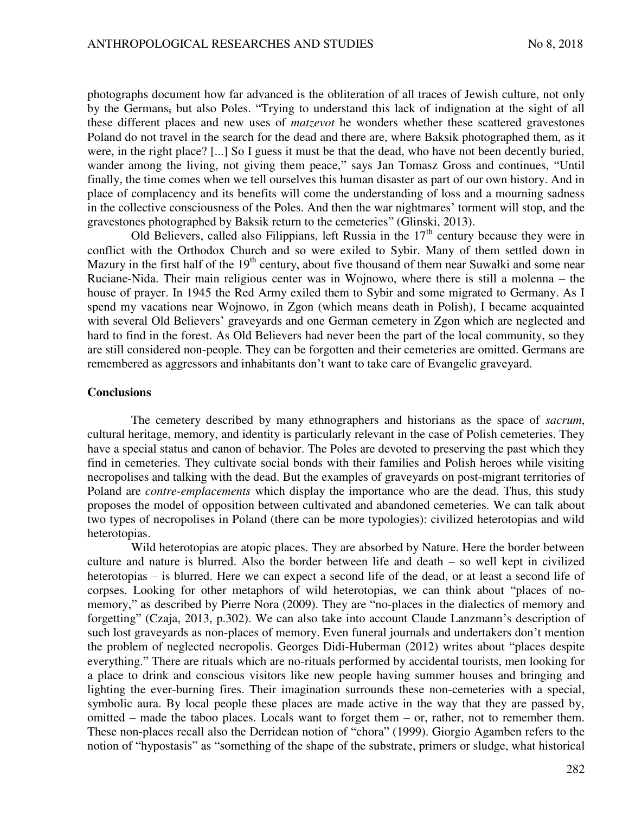photographs document how far advanced is the obliteration of all traces of Jewish culture, not only by the Germans, but also Poles. "Trying to understand this lack of indignation at the sight of all these different places and new uses of *matzevot* he wonders whether these scattered gravestones Poland do not travel in the search for the dead and there are, where Baksik photographed them, as it were, in the right place? [...] So I guess it must be that the dead, who have not been decently buried, wander among the living, not giving them peace," says Jan Tomasz Gross and continues, "Until finally, the time comes when we tell ourselves this human disaster as part of our own history. And in place of complacency and its benefits will come the understanding of loss and a mourning sadness in the collective consciousness of the Poles. And then the war nightmares' torment will stop, and the gravestones photographed by Baksik return to the cemeteries" (Glinski, 2013).

Old Believers, called also Filippians, left Russia in the  $17<sup>th</sup>$  century because they were in conflict with the Orthodox Church and so were exiled to Sybir. Many of them settled down in Mazury in the first half of the 19<sup>th</sup> century, about five thousand of them near Suwałki and some near Ruciane-Nida. Their main religious center was in Wojnowo, where there is still a molenna – the house of prayer. In 1945 the Red Army exiled them to Sybir and some migrated to Germany. As I spend my vacations near Wojnowo, in Zgon (which means death in Polish), I became acquainted with several Old Believers' graveyards and one German cemetery in Zgon which are neglected and hard to find in the forest. As Old Believers had never been the part of the local community, so they are still considered non-people. They can be forgotten and their cemeteries are omitted. Germans are remembered as aggressors and inhabitants don't want to take care of Evangelic graveyard.

#### **Conclusions**

The cemetery described by many ethnographers and historians as the space of *sacrum*, cultural heritage, memory, and identity is particularly relevant in the case of Polish cemeteries. They have a special status and canon of behavior. The Poles are devoted to preserving the past which they find in cemeteries. They cultivate social bonds with their families and Polish heroes while visiting necropolises and talking with the dead. But the examples of graveyards on post-migrant territories of Poland are *contre-emplacements* which display the importance who are the dead. Thus, this study proposes the model of opposition between cultivated and abandoned cemeteries. We can talk about two types of necropolises in Poland (there can be more typologies): civilized heterotopias and wild heterotopias.

Wild heterotopias are atopic places. They are absorbed by Nature. Here the border between culture and nature is blurred. Also the border between life and death – so well kept in civilized heterotopias – is blurred. Here we can expect a second life of the dead, or at least a second life of corpses. Looking for other metaphors of wild heterotopias, we can think about "places of nomemory," as described by Pierre Nora (2009). They are "no-places in the dialectics of memory and forgetting" (Czaja, 2013, p.302). We can also take into account Claude Lanzmann's description of such lost graveyards as non-places of memory. Even funeral journals and undertakers don't mention the problem of neglected necropolis. Georges Didi-Huberman (2012) writes about "places despite everything." There are rituals which are no-rituals performed by accidental tourists, men looking for a place to drink and conscious visitors like new people having summer houses and bringing and lighting the ever-burning fires. Their imagination surrounds these non-cemeteries with a special, symbolic aura. By local people these places are made active in the way that they are passed by, omitted – made the taboo places. Locals want to forget them – or, rather, not to remember them. These non-places recall also the Derridean notion of "chora" (1999). Giorgio Agamben refers to the notion of "hypostasis" as "something of the shape of the substrate, primers or sludge, what historical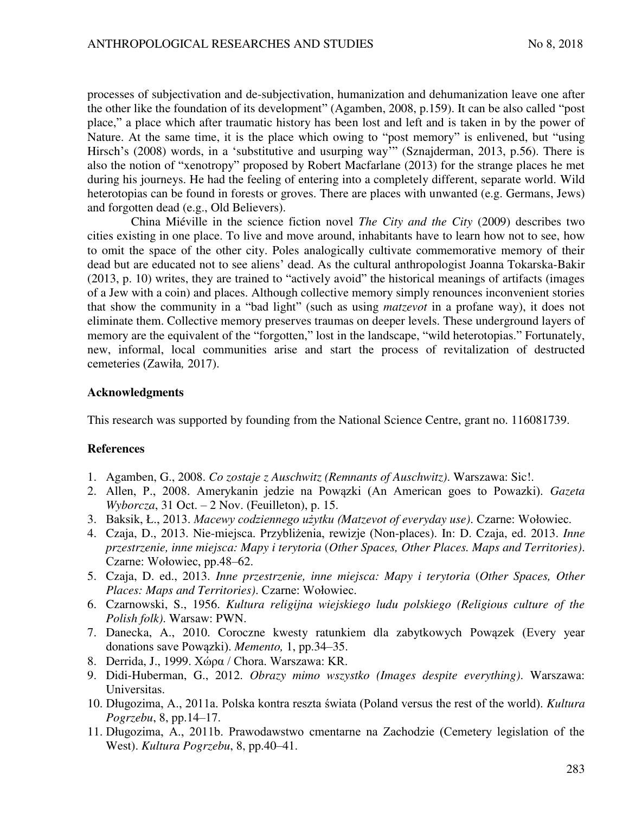processes of subjectivation and de-subjectivation, humanization and dehumanization leave one after the other like the foundation of its development" (Agamben, 2008, p.159). It can be also called "post place," a place which after traumatic history has been lost and left and is taken in by the power of Nature. At the same time, it is the place which owing to "post memory" is enlivened, but "using Hirsch's (2008) words, in a 'substitutive and usurping way'" (Sznajderman, 2013, p.56). There is also the notion of "xenotropy" proposed by Robert Macfarlane (2013) for the strange places he met during his journeys. He had the feeling of entering into a completely different, separate world. Wild heterotopias can be found in forests or groves. There are places with unwanted (e.g. Germans, Jews) and forgotten dead (e.g., Old Believers).

China Miéville in the science fiction novel *The City and the City* (2009) describes two cities existing in one place. To live and move around, inhabitants have to learn how not to see, how to omit the space of the other city. Poles analogically cultivate commemorative memory of their dead but are educated not to see aliens' dead. As the cultural anthropologist Joanna Tokarska-Bakir (2013, p. 10) writes, they are trained to "actively avoid" the historical meanings of artifacts (images of a Jew with a coin) and places. Although collective memory simply renounces inconvenient stories that show the community in a "bad light" (such as using *matzevot* in a profane way), it does not eliminate them. Collective memory preserves traumas on deeper levels. These underground layers of memory are the equivalent of the "forgotten," lost in the landscape, "wild heterotopias." Fortunately, new, informal, local communities arise and start the process of revitalization of destructed cemeteries (Zawiła*,* 2017).

## **Acknowledgments**

This research was supported by founding from the National Science Centre, grant no. 116081739.

### **References**

- 1. Agamben, G., 2008. *Co zostaje z Auschwitz (Remnants of Auschwitz)*. Warszawa: Sic!.
- 2. Allen, P., 2008. Amerykanin jedzie na Powązki (An American goes to Powazki). *Gazeta Wyborcza*, 31 Oct. – 2 Nov. (Feuilleton), p. 15.
- 3. Baksik, Ł., 2013. *Macewy codziennego użytku (Matzevot of everyday use)*. Czarne: Wołowiec.
- 4. Czaja, D., 2013. Nie-miejsca. Przybliżenia, rewizje (Non-places). In: D. Czaja, ed. 2013. Inne *przestrzenie, inne miejsca: Mapy i terytoria* (*Other Spaces, Other Places. Maps and Territories)*. Czarne: Wołowiec, pp.48–62.
- 5. Czaja, D. ed., 2013. *Inne przestrzenie, inne miejsca: Mapy i terytoria* (*Other Spaces, Other Places: Maps and Territories)*. Czarne: Wołowiec.
- 6. Czarnowski, S., 1956. *Kultura religijna wiejskiego ludu polskiego (Religious culture of the Polish folk)*. Warsaw: PWN.
- 7. Danecka, A., 2010. Coroczne kwesty ratunkiem dla zabytkowych Powązek (Every year donations save Powązki). *Memento,* 1, pp.34–35.
- 8. Derrida, J., 1999. Χώρα / Chora. Warszawa: KR.
- 9. Didi-Huberman, G., 2012. *Obrazy mimo wszystko (Images despite everything)*. Warszawa: Universitas.
- 10. Długozima, A., 2011a. Polska kontra reszta Ğwiata (Poland versus the rest of the world). *Kultura Pogrzebu*, 8, pp.14–17.
- 11. Długozima, A., 2011b. Prawodawstwo cmentarne na Zachodzie (Cemetery legislation of the West). *Kultura Pogrzebu*, 8, pp.40–41.